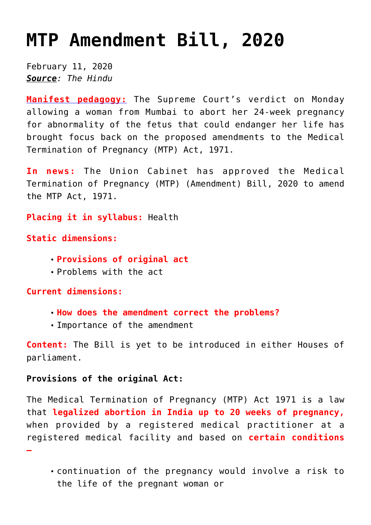## **[MTP Amendment Bill, 2020](https://journalsofindia.com/mtp-amendment-bill-2020/)**

February 11, 2020 *Source: The Hindu*

**[Manifest pedagogy:](https://www.manifestias.com/2018/11/05/manifest-pedagogy-looking-beyond-the-issue/)** The Supreme Court's verdict on Monday allowing a woman from Mumbai to abort her 24-week pregnancy for abnormality of the fetus that could endanger her life has brought focus back on the proposed amendments to the Medical Termination of Pregnancy (MTP) Act, 1971.

**In news:** The Union Cabinet has approved the Medical Termination of Pregnancy (MTP) (Amendment) Bill, 2020 to amend the MTP Act, 1971.

**Placing it in syllabus:** Health

**Static dimensions:**

- **Provisions of original act**
- Problems with the act

**Current dimensions:**

**–** 

- **How does the amendment correct the problems?**
- Importance of the amendment

**Content:** The Bill is yet to be introduced in either Houses of parliament.

## **Provisions of the original Act:**

The Medical Termination of Pregnancy (MTP) Act 1971 is a law that **legalized abortion in India up to 20 weeks of pregnancy,** when provided by a registered medical practitioner at a registered medical facility and based on **certain conditions**

continuation of the pregnancy would involve a risk to the life of the pregnant woman or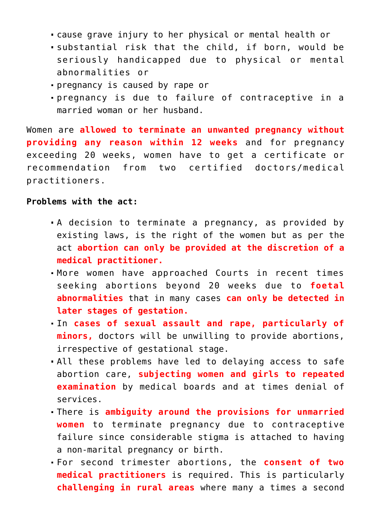- cause grave injury to her physical or mental health or
- substantial risk that the child, if born, would be seriously handicapped due to physical or mental abnormalities or
- pregnancy is caused by rape or
- pregnancy is due to failure of contraceptive in a married woman or her husband.

Women are **allowed to terminate an unwanted pregnancy without providing any reason within 12 weeks** and for pregnancy exceeding 20 weeks, women have to get a certificate or recommendation from two certified doctors/medical practitioners.

## **Problems with the act:**

- A decision to terminate a pregnancy, as provided by existing laws, is the right of the women but as per the act **abortion can only be provided at the discretion of a medical practitioner.**
- More women have approached Courts in recent times seeking abortions beyond 20 weeks due to **foetal abnormalities** that in many cases **can only be detected in later stages of gestation.**
- In **cases of sexual assault and rape, particularly of minors,** doctors will be unwilling to provide abortions, irrespective of gestational stage.
- All these problems have led to delaying access to safe abortion care, **subjecting women and girls to repeated examination** by medical boards and at times denial of services.
- There is **ambiguity around the provisions for unmarried women** to terminate pregnancy due to contraceptive failure since considerable stigma is attached to having a non-marital pregnancy or birth.
- For second trimester abortions, the **consent of two medical practitioners** is required. This is particularly **challenging in rural areas** where many a times a second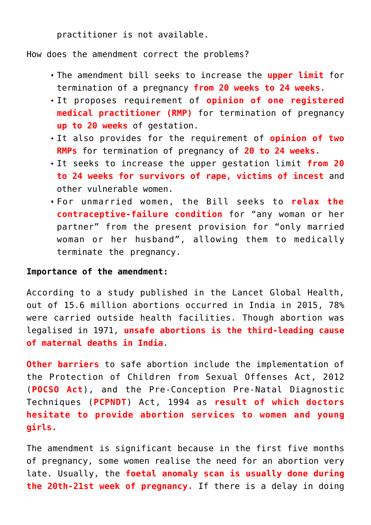practitioner is not available.

How does the amendment correct the problems?

- The amendment bill seeks to increase the **upper limit** for termination of a pregnancy **from 20 weeks to 24 weeks.**
- It proposes requirement of **opinion of one registered medical practitioner (RMP)** for termination of pregnancy **up to 20 weeks** of gestation.
- It also provides for the requirement of **opinion of two RMPs** for termination of pregnancy of **20 to 24 weeks.**
- It seeks to increase the upper gestation limit **from 20 to 24 weeks for survivors of rape, victims of incest** and other vulnerable women.
- For unmarried women, the Bill seeks to **relax the contraceptive-failure condition** for "any woman or her partner" from the present provision for "only married woman or her husband", allowing them to medically terminate the pregnancy.

## **Importance of the amendment:**

According to a study published in the Lancet Global Health, out of 15.6 million abortions occurred in India in 2015, 78% were carried outside health facilities. Though abortion was legalised in 1971, **unsafe abortions is the third-leading cause of maternal deaths in India**.

**Other barriers** to safe abortion include the implementation of the Protection of Children from Sexual Offenses Act, 2012 (**POCSO Act**), and the Pre-Conception Pre-Natal Diagnostic Techniques (**PCPNDT**) Act, 1994 as **result of which doctors hesitate to provide abortion services to women and young girls.** 

The amendment is significant because in the first five months of pregnancy, some women realise the need for an abortion very late. Usually, the **foetal anomaly scan is usually done during the 20th-21st week of pregnancy.** If there is a delay in doing